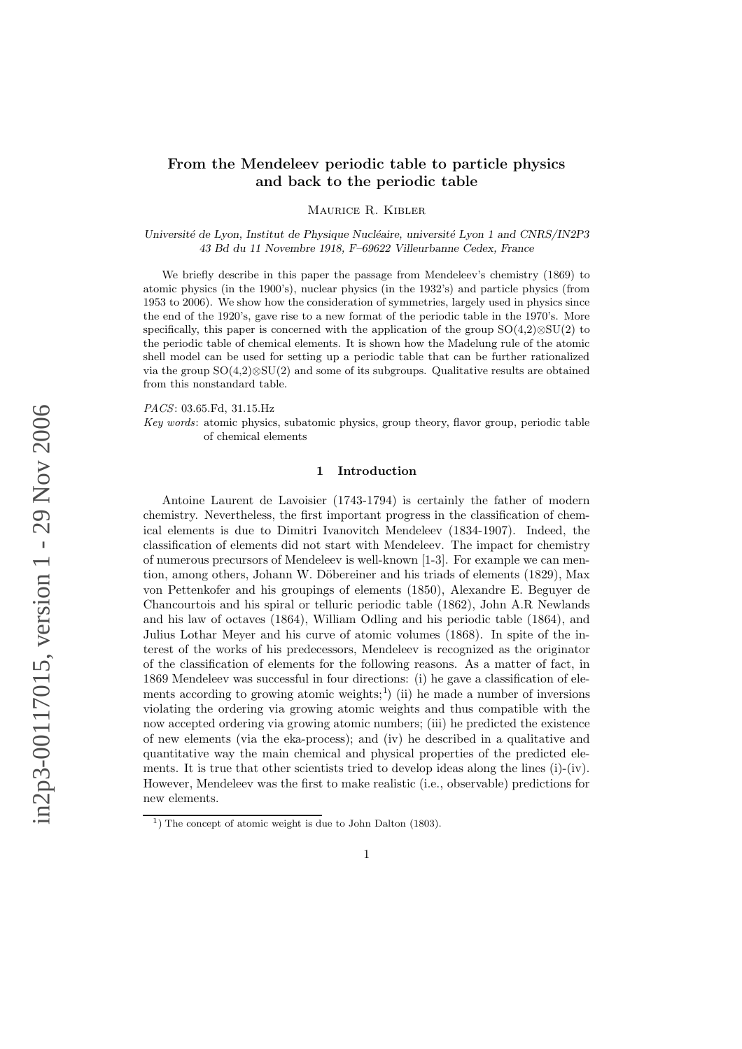# From the Mendeleev periodic table to particle physics and back to the periodic table

Maurice R. Kibler

Université de Lyon, Institut de Physique Nucléaire, université Lyon 1 and CNRS/IN2P3 43 Bd du 11 Novembre 1918, F–69622 Villeurbanne Cedex, France

We briefly describe in this paper the passage from Mendeleev's chemistry (1869) to atomic physics (in the 1900's), nuclear physics (in the 1932's) and particle physics (from 1953 to 2006). We show how the consideration of symmetries, largely used in physics since the end of the 1920's, gave rise to a new format of the periodic table in the 1970's. More specifically, this paper is concerned with the application of the group SO(4,2)⊗SU(2) to the periodic table of chemical elements. It is shown how the Madelung rule of the atomic shell model can be used for setting up a periodic table that can be further rationalized via the group  $SO(4,2)\otimes SU(2)$  and some of its subgroups. Qualitative results are obtained from this nonstandard table.

PACS: 03.65.Fd, 31.15.Hz

Key words: atomic physics, subatomic physics, group theory, flavor group, periodic table of chemical elements

### 1 Introduction

Antoine Laurent de Lavoisier (1743-1794) is certainly the father of modern chemistry. Nevertheless, the first important progress in the classification of chemical elements is due to Dimitri Ivanovitch Mendeleev (1834-1907). Indeed, the classification of elements did not start with Mendeleev. The impact for chemistry of numerous precursors of Mendeleev is well-known [1-3]. For example we can mention, among others, Johann W. Döbereiner and his triads of elements (1829), Max von Pettenkofer and his groupings of elements (1850), Alexandre E. Beguyer de Chancourtois and his spiral or telluric periodic table (1862), John A.R Newlands and his law of octaves (1864), William Odling and his periodic table (1864), and Julius Lothar Meyer and his curve of atomic volumes (1868). In spite of the interest of the works of his predecessors, Mendeleev is recognized as the originator of the classification of elements for the following reasons. As a matter of fact, in 1869 Mendeleev was successful in four directions: (i) he gave a classification of elements according to growing atomic weights;<sup>1</sup>) (ii) he made a number of inversions violating the ordering via growing atomic weights and thus compatible with the now accepted ordering via growing atomic numbers; (iii) he predicted the existence of new elements (via the eka-process); and (iv) he described in a qualitative and quantitative way the main chemical and physical properties of the predicted elements. It is true that other scientists tried to develop ideas along the lines  $(i)-(iv)$ . However, Mendeleev was the first to make realistic (i.e., observable) predictions for new elements.

 $<sup>1</sup>$ ) The concept of atomic weight is due to John Dalton (1803).</sup>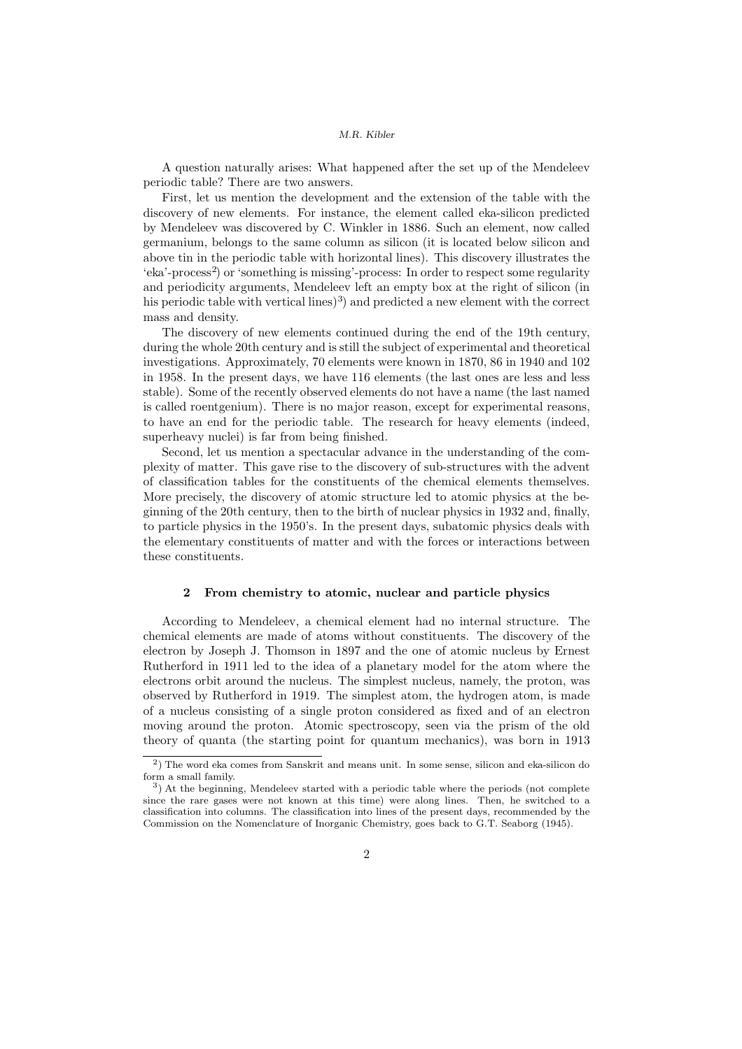A question naturally arises: What happened after the set up of the Mendeleev periodic table? There are two answers.

First, let us mention the development and the extension of the table with the discovery of new elements. For instance, the element called eka-silicon predicted by Mendeleev was discovered by C. Winkler in 1886. Such an element, now called germanium, belongs to the same column as silicon (it is located below silicon and above tin in the periodic table with horizontal lines). This discovery illustrates the 'eka'-process<sup>2</sup>) or 'something is missing'-process: In order to respect some regularity and periodicity arguments, Mendeleev left an empty box at the right of silicon (in his periodic table with vertical lines)<sup>3</sup>) and predicted a new element with the correct mass and density.

The discovery of new elements continued during the end of the 19th century, during the whole 20th century and is still the subject of experimental and theoretical investigations. Approximately, 70 elements were known in 1870, 86 in 1940 and 102 in 1958. In the present days, we have 116 elements (the last ones are less and less stable). Some of the recently observed elements do not have a name (the last named is called roentgenium). There is no major reason, except for experimental reasons, to have an end for the periodic table. The research for heavy elements (indeed, superheavy nuclei) is far from being finished.

Second, let us mention a spectacular advance in the understanding of the complexity of matter. This gave rise to the discovery of sub-structures with the advent of classification tables for the constituents of the chemical elements themselves. More precisely, the discovery of atomic structure led to atomic physics at the beginning of the 20th century, then to the birth of nuclear physics in 1932 and, finally, to particle physics in the 1950's. In the present days, subatomic physics deals with the elementary constituents of matter and with the forces or interactions between these constituents.

### 2 From chemistry to atomic, nuclear and particle physics

According to Mendeleev, a chemical element had no internal structure. The chemical elements are made of atoms without constituents. The discovery of the electron by Joseph J. Thomson in 1897 and the one of atomic nucleus by Ernest Rutherford in 1911 led to the idea of a planetary model for the atom where the electrons orbit around the nucleus. The simplest nucleus, namely, the proton, was observed by Rutherford in 1919. The simplest atom, the hydrogen atom, is made of a nucleus consisting of a single proton considered as fixed and of an electron moving around the proton. Atomic spectroscopy, seen via the prism of the old theory of quanta (the starting point for quantum mechanics), was born in 1913

<sup>&</sup>lt;sup>2</sup>) The word eka comes from Sanskrit and means unit. In some sense, silicon and eka-silicon do form a small family.

<sup>&</sup>lt;sup>3</sup>) At the beginning, Mendeleev started with a periodic table where the periods (not complete since the rare gases were not known at this time) were along lines. Then, he switched to a classification into columns. The classification into lines of the present days, recommended by the Commission on the Nomenclature of Inorganic Chemistry, goes back to G.T. Seaborg (1945).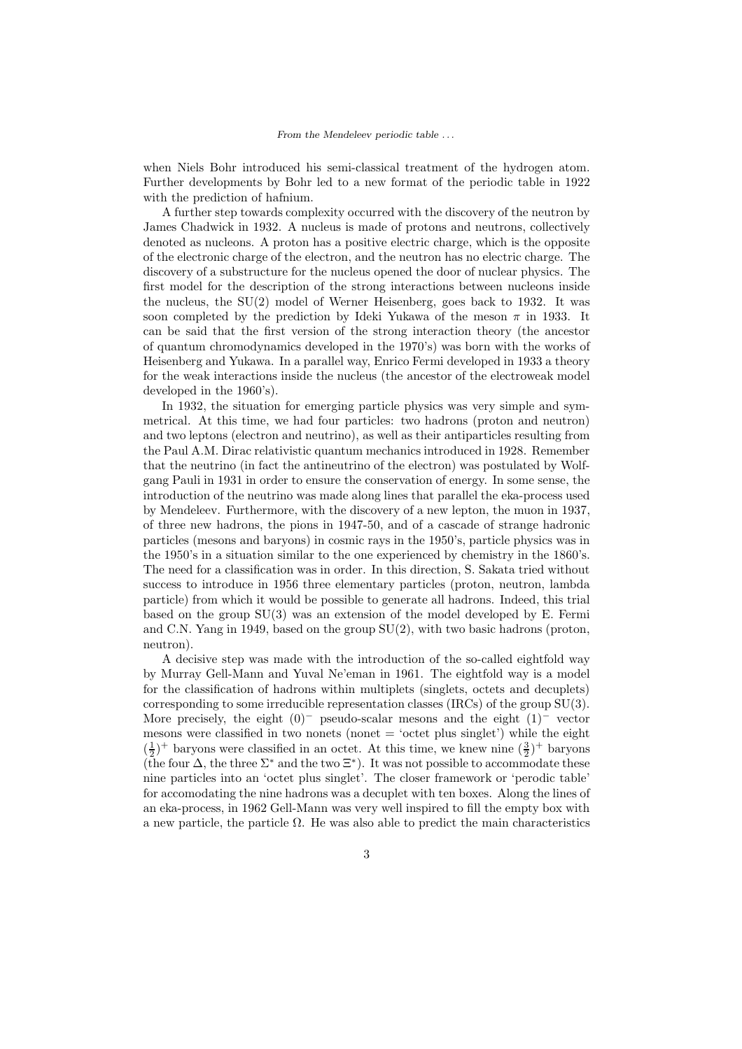when Niels Bohr introduced his semi-classical treatment of the hydrogen atom. Further developments by Bohr led to a new format of the periodic table in 1922 with the prediction of hafnium.

A further step towards complexity occurred with the discovery of the neutron by James Chadwick in 1932. A nucleus is made of protons and neutrons, collectively denoted as nucleons. A proton has a positive electric charge, which is the opposite of the electronic charge of the electron, and the neutron has no electric charge. The discovery of a substructure for the nucleus opened the door of nuclear physics. The first model for the description of the strong interactions between nucleons inside the nucleus, the SU(2) model of Werner Heisenberg, goes back to 1932. It was soon completed by the prediction by Ideki Yukawa of the meson  $\pi$  in 1933. It can be said that the first version of the strong interaction theory (the ancestor of quantum chromodynamics developed in the 1970's) was born with the works of Heisenberg and Yukawa. In a parallel way, Enrico Fermi developed in 1933 a theory for the weak interactions inside the nucleus (the ancestor of the electroweak model developed in the 1960's).

In 1932, the situation for emerging particle physics was very simple and symmetrical. At this time, we had four particles: two hadrons (proton and neutron) and two leptons (electron and neutrino), as well as their antiparticles resulting from the Paul A.M. Dirac relativistic quantum mechanics introduced in 1928. Remember that the neutrino (in fact the antineutrino of the electron) was postulated by Wolfgang Pauli in 1931 in order to ensure the conservation of energy. In some sense, the introduction of the neutrino was made along lines that parallel the eka-process used by Mendeleev. Furthermore, with the discovery of a new lepton, the muon in 1937, of three new hadrons, the pions in 1947-50, and of a cascade of strange hadronic particles (mesons and baryons) in cosmic rays in the 1950's, particle physics was in the 1950's in a situation similar to the one experienced by chemistry in the 1860's. The need for a classification was in order. In this direction, S. Sakata tried without success to introduce in 1956 three elementary particles (proton, neutron, lambda particle) from which it would be possible to generate all hadrons. Indeed, this trial based on the group SU(3) was an extension of the model developed by E. Fermi and C.N. Yang in 1949, based on the group SU(2), with two basic hadrons (proton, neutron).

A decisive step was made with the introduction of the so-called eightfold way by Murray Gell-Mann and Yuval Ne'eman in 1961. The eightfold way is a model for the classification of hadrons within multiplets (singlets, octets and decuplets) corresponding to some irreducible representation classes (IRCs) of the group SU(3). More precisely, the eight  $(0)^-$  pseudo-scalar mesons and the eight  $(1)^-$  vector mesons were classified in two nonets (nonet  $=$  'octet plus singlet') while the eight  $(\frac{1}{2})^+$  baryons were classified in an octet. At this time, we knew nine  $(\frac{3}{2})^+$  baryons (the four  $\Delta$ , the three  $\Sigma^*$  and the two  $\Xi^*$ ). It was not possible to accommodate these nine particles into an 'octet plus singlet'. The closer framework or 'perodic table' for accomodating the nine hadrons was a decuplet with ten boxes. Along the lines of an eka-process, in 1962 Gell-Mann was very well inspired to fill the empty box with a new particle, the particle  $\Omega$ . He was also able to predict the main characteristics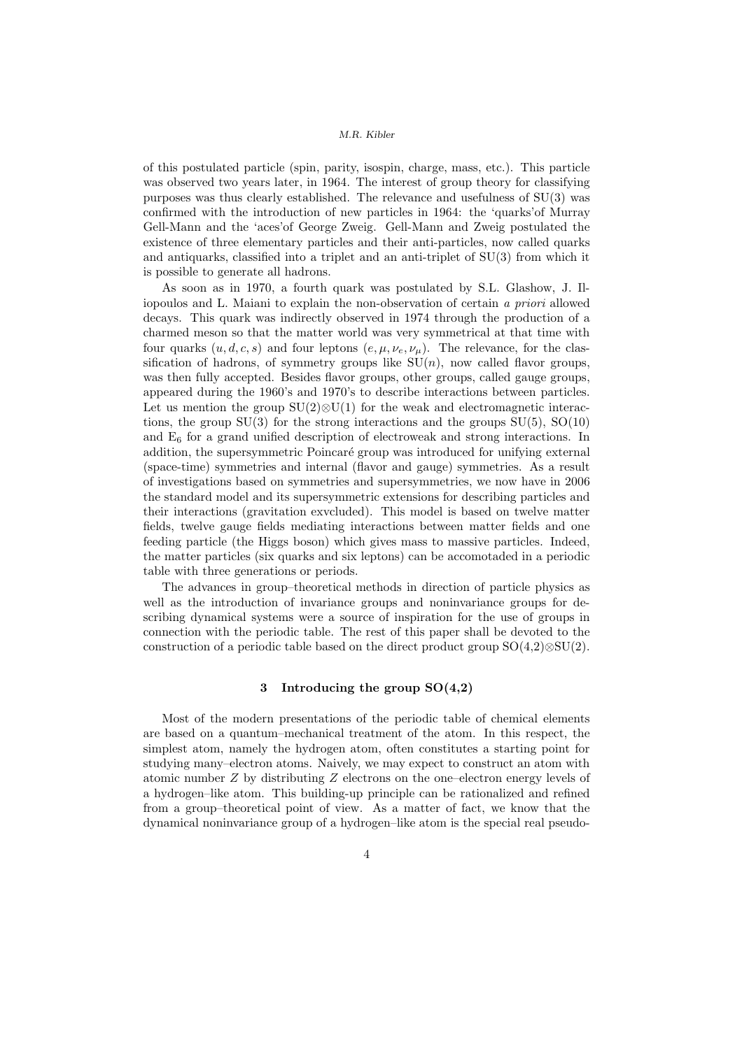of this postulated particle (spin, parity, isospin, charge, mass, etc.). This particle was observed two years later, in 1964. The interest of group theory for classifying purposes was thus clearly established. The relevance and usefulness of SU(3) was confirmed with the introduction of new particles in 1964: the 'quarks'of Murray Gell-Mann and the 'aces'of George Zweig. Gell-Mann and Zweig postulated the existence of three elementary particles and their anti-particles, now called quarks and antiquarks, classified into a triplet and an anti-triplet of  $SU(3)$  from which it is possible to generate all hadrons.

As soon as in 1970, a fourth quark was postulated by S.L. Glashow, J. Iliopoulos and L. Maiani to explain the non-observation of certain a priori allowed decays. This quark was indirectly observed in 1974 through the production of a charmed meson so that the matter world was very symmetrical at that time with four quarks  $(u, d, c, s)$  and four leptons  $(e, \mu, \nu_e, \nu_\mu)$ . The relevance, for the classification of hadrons, of symmetry groups like  $SU(n)$ , now called flavor groups, was then fully accepted. Besides flavor groups, other groups, called gauge groups, appeared during the 1960's and 1970's to describe interactions between particles. Let us mention the group  $SU(2) \otimes U(1)$  for the weak and electromagnetic interactions, the group  $SU(3)$  for the strong interactions and the groups  $SU(5)$ ,  $SO(10)$ and E<sup>6</sup> for a grand unified description of electroweak and strong interactions. In addition, the supersymmetric Poincaré group was introduced for unifying external (space-time) symmetries and internal (flavor and gauge) symmetries. As a result of investigations based on symmetries and supersymmetries, we now have in 2006 the standard model and its supersymmetric extensions for describing particles and their interactions (gravitation exvcluded). This model is based on twelve matter fields, twelve gauge fields mediating interactions between matter fields and one feeding particle (the Higgs boson) which gives mass to massive particles. Indeed, the matter particles (six quarks and six leptons) can be accomotaded in a periodic table with three generations or periods.

The advances in group–theoretical methods in direction of particle physics as well as the introduction of invariance groups and noninvariance groups for describing dynamical systems were a source of inspiration for the use of groups in connection with the periodic table. The rest of this paper shall be devoted to the construction of a periodic table based on the direct product group  $SO(4,2)\otimes SU(2)$ .

# 3 Introducing the group SO(4,2)

Most of the modern presentations of the periodic table of chemical elements are based on a quantum–mechanical treatment of the atom. In this respect, the simplest atom, namely the hydrogen atom, often constitutes a starting point for studying many–electron atoms. Naively, we may expect to construct an atom with atomic number Z by distributing Z electrons on the one–electron energy levels of a hydrogen–like atom. This building-up principle can be rationalized and refined from a group–theoretical point of view. As a matter of fact, we know that the dynamical noninvariance group of a hydrogen–like atom is the special real pseudo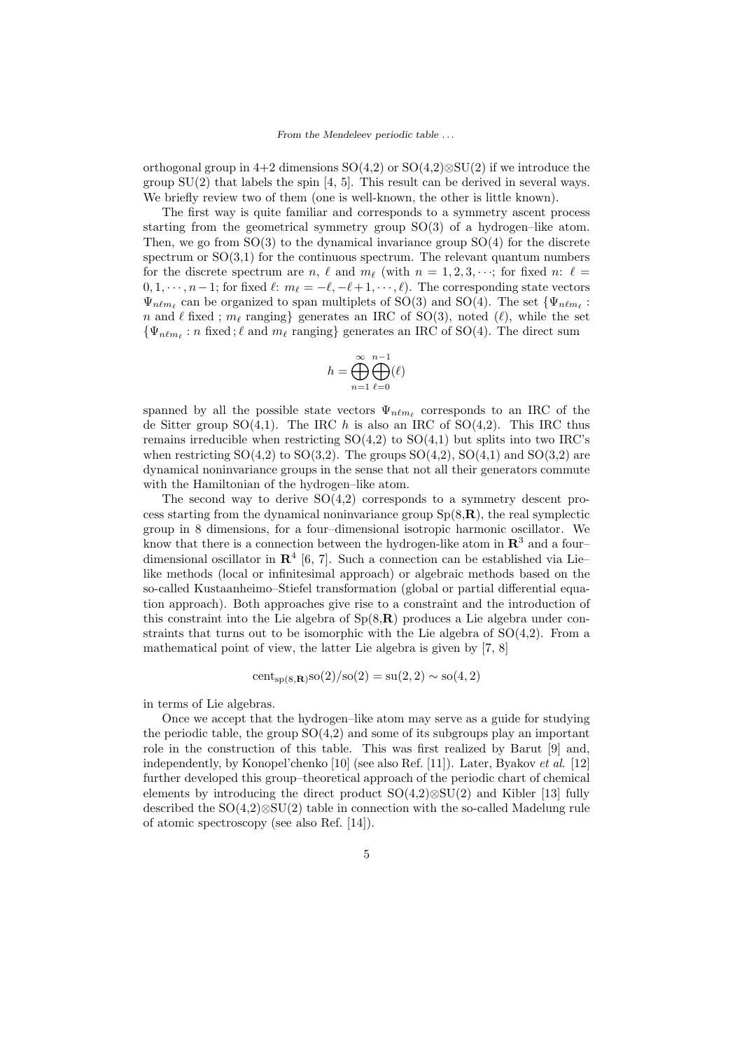orthogonal group in 4+2 dimensions  $SO(4,2)$  or  $SO(4,2)\otimes SU(2)$  if we introduce the group SU(2) that labels the spin [4, 5]. This result can be derived in several ways. We briefly review two of them (one is well-known, the other is little known).

The first way is quite familiar and corresponds to a symmetry ascent process starting from the geometrical symmetry group SO(3) of a hydrogen–like atom. Then, we go from  $SO(3)$  to the dynamical invariance group  $SO(4)$  for the discrete spectrum or  $SO(3,1)$  for the continuous spectrum. The relevant quantum numbers for the discrete spectrum are n,  $\ell$  and  $m_{\ell}$  (with  $n = 1, 2, 3, \cdots$ ; for fixed n:  $\ell =$  $0, 1, \dots, n-1$ ; for fixed  $\ell: m_{\ell} = -\ell, -\ell+1, \dots, \ell$ ). The corresponding state vectors  $\Psi_{n\ell m_{\ell}}$  can be organized to span multiplets of SO(3) and SO(4). The set  $\{\Psi_{n\ell m_{\ell}}\}$ : n and  $\ell$  fixed;  $m_{\ell}$  ranging} generates an IRC of SO(3), noted ( $\ell$ ), while the set  $\{\Psi_{n\ell m_\ell}: n \text{ fixed}; \ell \text{ and } m_\ell \text{ ranging}\}$  generates an IRC of SO(4). The direct sum

$$
h=\bigoplus_{n=1}^\infty\bigoplus_{\ell=0}^{n-1}(\ell)
$$

spanned by all the possible state vectors  $\Psi_{n\ell m_{\ell}}$  corresponds to an IRC of the de Sitter group  $SO(4,1)$ . The IRC h is also an IRC of  $SO(4,2)$ . This IRC thus remains irreducible when restricting  $SO(4,2)$  to  $SO(4,1)$  but splits into two IRC's when restricting  $SO(4,2)$  to  $SO(3,2)$ . The groups  $SO(4,2)$ ,  $SO(4,1)$  and  $SO(3,2)$  are dynamical noninvariance groups in the sense that not all their generators commute with the Hamiltonian of the hydrogen–like atom.

The second way to derive  $SO(4,2)$  corresponds to a symmetry descent process starting from the dynamical noninvariance group  $Sp(8,\mathbf{R})$ , the real symplectic group in 8 dimensions, for a four–dimensional isotropic harmonic oscillator. We know that there is a connection between the hydrogen-like atom in  $\mathbb{R}^3$  and a fourdimensional oscillator in  $\mathbb{R}^4$  [6, 7]. Such a connection can be established via Lie– like methods (local or infinitesimal approach) or algebraic methods based on the so-called Kustaanheimo–Stiefel transformation (global or partial differential equation approach). Both approaches give rise to a constraint and the introduction of this constraint into the Lie algebra of  $Sp(8,\mathbf{R})$  produces a Lie algebra under constraints that turns out to be isomorphic with the Lie algebra of  $SO(4,2)$ . From a mathematical point of view, the latter Lie algebra is given by [7, 8]

$$
cent_{sp(8,\mathbf{R})}so(2)/so(2) = su(2,2) \sim so(4,2)
$$

in terms of Lie algebras.

Once we accept that the hydrogen–like atom may serve as a guide for studying the periodic table, the group  $SO(4,2)$  and some of its subgroups play an important role in the construction of this table. This was first realized by Barut [9] and, independently, by Konopel'chenko [10] (see also Ref. [11]). Later, Byakov et al. [12] further developed this group–theoretical approach of the periodic chart of chemical elements by introducing the direct product SO(4,2)⊗SU(2) and Kibler [13] fully described the SO(4,2)⊗SU(2) table in connection with the so-called Madelung rule of atomic spectroscopy (see also Ref. [14]).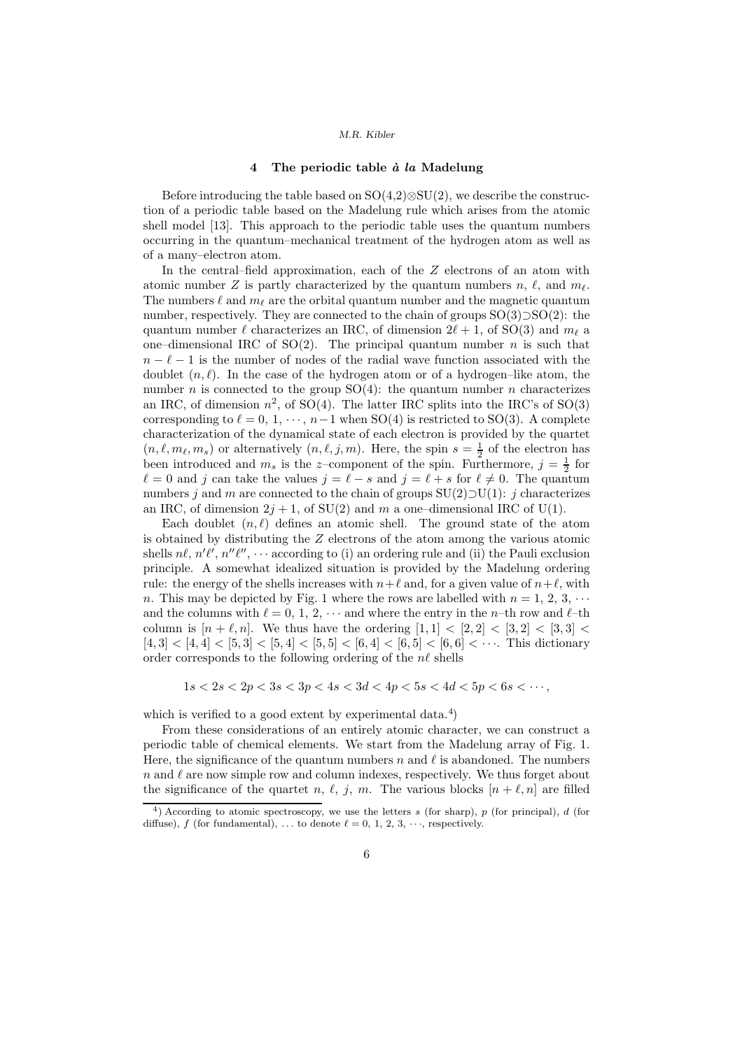# 4 The periodic table  $\dot{a}$  la Madelung

Before introducing the table based on SO(4,2)⊗SU(2), we describe the construction of a periodic table based on the Madelung rule which arises from the atomic shell model [13]. This approach to the periodic table uses the quantum numbers occurring in the quantum–mechanical treatment of the hydrogen atom as well as of a many–electron atom.

In the central–field approximation, each of the Z electrons of an atom with atomic number Z is partly characterized by the quantum numbers  $n, \ell$ , and  $m_{\ell}$ . The numbers  $\ell$  and  $m_\ell$  are the orbital quantum number and the magnetic quantum number, respectively. They are connected to the chain of groups SO(3)⊃SO(2): the quantum number  $\ell$  characterizes an IRC, of dimension  $2\ell + 1$ , of SO(3) and  $m_{\ell}$  a one–dimensional IRC of SO(2). The principal quantum number n is such that  $n - \ell - 1$  is the number of nodes of the radial wave function associated with the doublet  $(n, \ell)$ . In the case of the hydrogen atom or of a hydrogen–like atom, the number *n* is connected to the group  $SO(4)$ : the quantum number *n* characterizes an IRC, of dimension  $n^2$ , of SO(4). The latter IRC splits into the IRC's of SO(3) corresponding to  $\ell = 0, 1, \dots, n-1$  when SO(4) is restricted to SO(3). A complete characterization of the dynamical state of each electron is provided by the quartet  $(n, \ell, m_\ell, m_s)$  or alternatively  $(n, \ell, j, m)$ . Here, the spin  $s = \frac{1}{2}$  of the electron has been introduced and  $m_s$  is the z-component of the spin. Furthermore,  $j = \frac{1}{2}$  for  $\ell = 0$  and j can take the values  $j = \ell - s$  and  $j = \ell + s$  for  $\ell \neq 0$ . The quantum numbers j and m are connected to the chain of groups  $SU(2) \supset U(1)$ : j characterizes an IRC, of dimension  $2j + 1$ , of  $SU(2)$  and m a one-dimensional IRC of U(1).

Each doublet  $(n, \ell)$  defines an atomic shell. The ground state of the atom is obtained by distributing the Z electrons of the atom among the various atomic shells  $n\ell$ ,  $n'\ell'$ ,  $n''\ell''$ ,  $\cdots$  according to (i) an ordering rule and (ii) the Pauli exclusion principle. A somewhat idealized situation is provided by the Madelung ordering rule: the energy of the shells increases with  $n+\ell$  and, for a given value of  $n+\ell$ , with n. This may be depicted by Fig. 1 where the rows are labelled with  $n = 1, 2, 3, \cdots$ and the columns with  $\ell = 0, 1, 2, \cdots$  and where the entry in the n-th row and  $\ell$ -th column is  $[n + \ell, n]$ . We thus have the ordering  $[1, 1] < [2, 2] < [3, 2] < [3, 3] <$  $[4,3] < [4,4] < [5,3] < [5,4] < [5,5] < [6,4] < [6,5] < [6,6] < \cdots$ . This dictionary order corresponds to the following ordering of the  $n\ell$  shells

 $1s < 2s < 2p < 3s < 3p < 4s < 3d < 4p < 5s < 4d < 5p < 6s < \cdots$ ,

which is verified to a good extent by experimental data.<sup>4</sup>)

From these considerations of an entirely atomic character, we can construct a periodic table of chemical elements. We start from the Madelung array of Fig. 1. Here, the significance of the quantum numbers n and  $\ell$  is abandoned. The numbers n and  $\ell$  are now simple row and column indexes, respectively. We thus forget about the significance of the quartet n,  $\ell$ , j, m. The various blocks  $[n + \ell, n]$  are filled

<sup>&</sup>lt;sup>4</sup>) According to atomic spectroscopy, we use the letters s (for sharp), p (for principal), d (for diffuse), f (for fundamental), ... to denote  $\ell = 0, 1, 2, 3, \dots$ , respectively.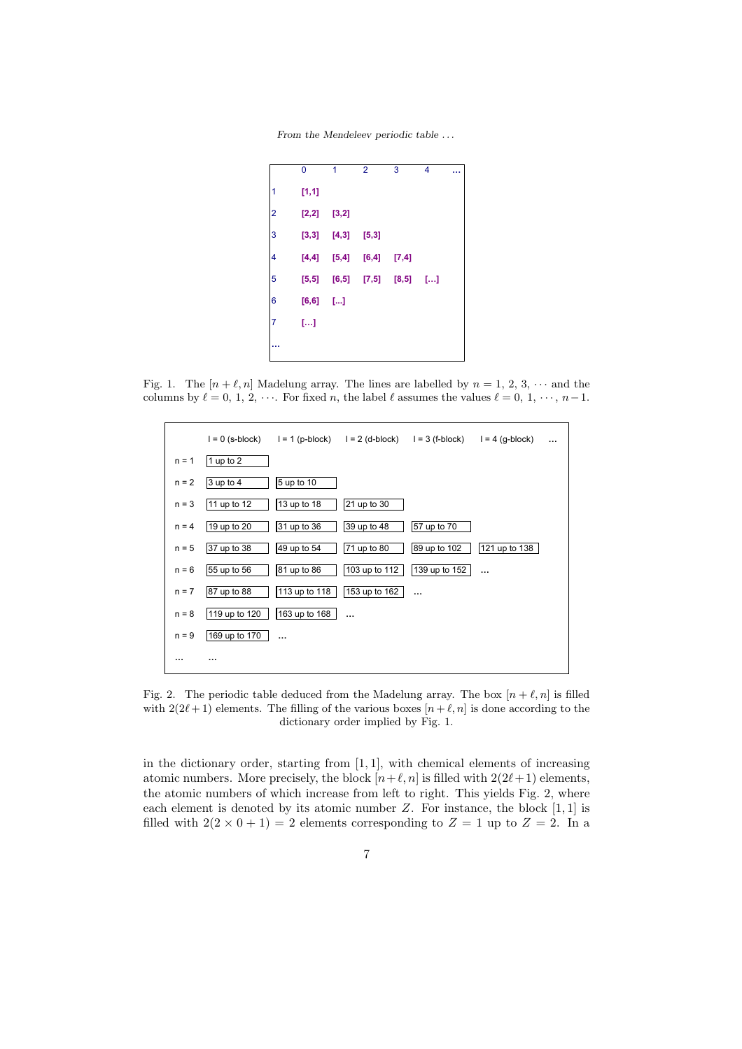From the Mendeleev periodic table . . .

|                         | 0       | 1      | $\overline{2}$ | 3      | 4  |  |
|-------------------------|---------|--------|----------------|--------|----|--|
| 1                       | [1, 1]  |        |                |        |    |  |
| $\overline{\mathbf{c}}$ | $[2,2]$ | [3,2]  |                |        |    |  |
| 3                       | [3,3]   | [4,3]  | [5,3]          |        |    |  |
| 4                       | [4, 4]  | [5, 4] | [6, 4]         | [7,4]  |    |  |
| 5                       | [5, 5]  | [6, 5] | [7, 5]         | [8, 5] | [] |  |
| $\boldsymbol{6}$        | [6, 6]  | […]    |                |        |    |  |
| 7                       | […]     |        |                |        |    |  |
|                         |         |        |                |        |    |  |

Fig. 1. The  $[n + \ell, n]$  Madelung array. The lines are labelled by  $n = 1, 2, 3, \cdots$  and the columns by  $\ell = 0, 1, 2, \cdots$ . For fixed n, the label  $\ell$  assumes the values  $\ell = 0, 1, \cdots, n-1$ .



Fig. 2. The periodic table deduced from the Madelung array. The box  $[n + \ell, n]$  is filled with  $2(2\ell+1)$  elements. The filling of the various boxes  $[n+\ell,n]$  is done according to the dictionary order implied by Fig. 1.

in the dictionary order, starting from [1, 1], with chemical elements of increasing atomic numbers. More precisely, the block  $[n+\ell,n]$  is filled with  $2(2\ell+1)$  elements, the atomic numbers of which increase from left to right. This yields Fig. 2, where each element is denoted by its atomic number  $Z$ . For instance, the block  $[1, 1]$  is filled with  $2(2 \times 0 + 1) = 2$  elements corresponding to  $Z = 1$  up to  $Z = 2$ . In a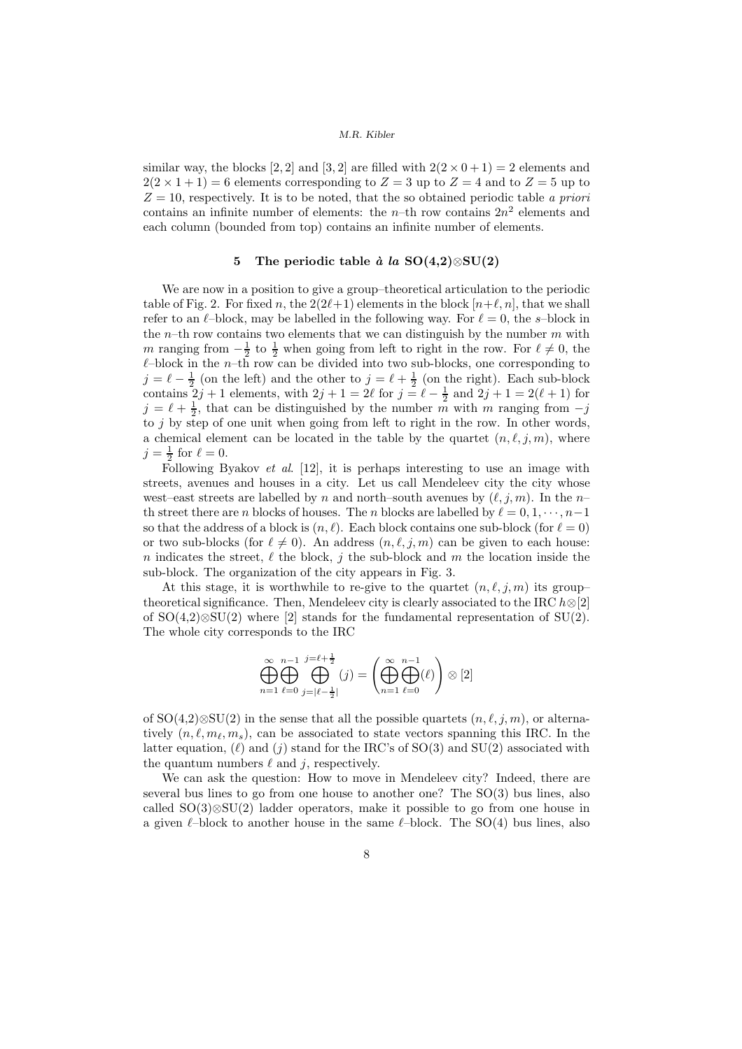similar way, the blocks [2, 2] and [3, 2] are filled with  $2(2 \times 0 + 1) = 2$  elements and  $2(2 \times 1 + 1) = 6$  elements corresponding to  $Z = 3$  up to  $Z = 4$  and to  $Z = 5$  up to  $Z = 10$ , respectively. It is to be noted, that the so obtained periodic table a priori contains an infinite number of elements: the  $n$ -th row contains  $2n^2$  elements and each column (bounded from top) contains an infinite number of elements.

## 5 The periodic table à la SO(4,2)⊗SU(2)

We are now in a position to give a group–theoretical articulation to the periodic table of Fig. 2. For fixed n, the  $2(2\ell+1)$  elements in the block  $[n+\ell,n]$ , that we shall refer to an  $\ell$ -block, may be labelled in the following way. For  $\ell = 0$ , the s-block in the n–th row contains two elements that we can distinguish by the number  $m$  with m ranging from  $-\frac{1}{2}$  to  $\frac{1}{2}$  when going from left to right in the row. For  $\ell \neq 0$ , the  $\ell$ –block in the *n*–th row can be divided into two sub-blocks, one corresponding to  $j = \ell - \frac{1}{2}$  (on the left) and the other to  $j = \ell + \frac{1}{2}$  (on the right). Each sub-block contains  $2j + 1$  elements, with  $2j + 1 = 2\ell$  for  $j = \ell - \frac{1}{2}$  and  $2j + 1 = 2(\ell + 1)$  for  $j = \ell + \frac{1}{2}$ , that can be distinguished by the number m with m ranging from  $-j$ to j by step of one unit when going from left to right in the row. In other words, a chemical element can be located in the table by the quartet  $(n, \ell, j, m)$ , where  $j=\frac{1}{2}$  for  $\ell=0$ .

Following Byakov et al. [12], it is perhaps interesting to use an image with streets, avenues and houses in a city. Let us call Mendeleev city the city whose west–east streets are labelled by n and north–south avenues by  $(\ell, j, m)$ . In the n– th street there are n blocks of houses. The n blocks are labelled by  $\ell = 0, 1, \cdots, n-1$ so that the address of a block is  $(n, \ell)$ . Each block contains one sub-block (for  $\ell = 0$ ) or two sub-blocks (for  $\ell \neq 0$ ). An address  $(n, \ell, i, m)$  can be given to each house: n indicates the street,  $\ell$  the block, j the sub-block and m the location inside the sub-block. The organization of the city appears in Fig. 3.

At this stage, it is worthwhile to re-give to the quartet  $(n, \ell, j, m)$  its grouptheoretical significance. Then, Mendeleev city is clearly associated to the IRC  $h \otimes [2]$ of  $SO(4,2)\otimes SU(2)$  where [2] stands for the fundamental representation of  $SU(2)$ . The whole city corresponds to the IRC

$$
\bigoplus_{n=1}^{\infty}\bigoplus_{\ell=0}^{n-1}\bigoplus_{j=|\ell-\frac{1}{2}|}^{\ \ j=\pm\frac{1}{2}}(j)=\left(\bigoplus_{n=1}^{\infty}\bigoplus_{\ell=0}^{n-1}(\ell)\right)\otimes[2]
$$

of SO(4,2)⊗SU(2) in the sense that all the possible quartets  $(n, \ell, j, m)$ , or alternatively  $(n, \ell, m_\ell, m_s)$ , can be associated to state vectors spanning this IRC. In the latter equation,  $(\ell)$  and  $(j)$  stand for the IRC's of SO(3) and SU(2) associated with the quantum numbers  $\ell$  and  $j$ , respectively.

We can ask the question: How to move in Mendeleev city? Indeed, there are several bus lines to go from one house to another one? The SO(3) bus lines, also called SO(3)⊗SU(2) ladder operators, make it possible to go from one house in a given  $\ell$ –block to another house in the same  $\ell$ –block. The SO(4) bus lines, also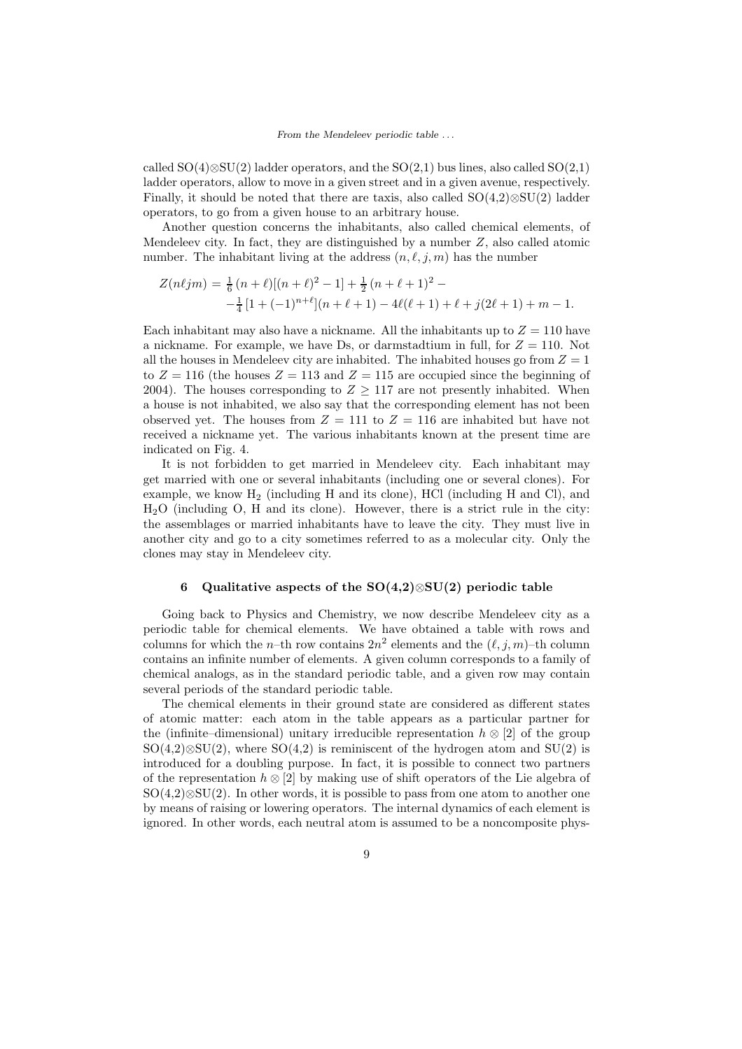called  $SO(4) \otimes SU(2)$  ladder operators, and the  $SO(2,1)$  bus lines, also called  $SO(2,1)$ ladder operators, allow to move in a given street and in a given avenue, respectively. Finally, it should be noted that there are taxis, also called SO(4,2)⊗SU(2) ladder operators, to go from a given house to an arbitrary house.

Another question concerns the inhabitants, also called chemical elements, of Mendeleev city. In fact, they are distinguished by a number  $Z$ , also called atomic number. The inhabitant living at the address  $(n, \ell, j, m)$  has the number

$$
Z(n\ell jm) = \frac{1}{6} (n+\ell)[(n+\ell)^2 - 1] + \frac{1}{2} (n+\ell+1)^2 -
$$
  

$$
-\frac{1}{4} [1+(-1)^{n+\ell}](n+\ell+1) - 4\ell(\ell+1) + \ell + j(2\ell+1) + m - 1.
$$

Each inhabitant may also have a nickname. All the inhabitants up to  $Z = 110$  have a nickname. For example, we have Ds, or darmstadtium in full, for  $Z = 110$ . Not all the houses in Mendeleev city are inhabited. The inhabited houses go from  $Z = 1$ to  $Z = 116$  (the houses  $Z = 113$  and  $Z = 115$  are occupied since the beginning of 2004). The houses corresponding to  $Z \geq 117$  are not presently inhabited. When a house is not inhabited, we also say that the corresponding element has not been observed yet. The houses from  $Z = 111$  to  $Z = 116$  are inhabited but have not received a nickname yet. The various inhabitants known at the present time are indicated on Fig. 4.

It is not forbidden to get married in Mendeleev city. Each inhabitant may get married with one or several inhabitants (including one or several clones). For example, we know  $H_2$  (including H and its clone), HCl (including H and Cl), and H2O (including O, H and its clone). However, there is a strict rule in the city: the assemblages or married inhabitants have to leave the city. They must live in another city and go to a city sometimes referred to as a molecular city. Only the clones may stay in Mendeleev city.

### 6 Qualitative aspects of the  $SO(4,2)\otimes SU(2)$  periodic table

Going back to Physics and Chemistry, we now describe Mendeleev city as a periodic table for chemical elements. We have obtained a table with rows and columns for which the *n*-th row contains  $2n^2$  elements and the  $(\ell, j, m)$ -th column contains an infinite number of elements. A given column corresponds to a family of chemical analogs, as in the standard periodic table, and a given row may contain several periods of the standard periodic table.

The chemical elements in their ground state are considered as different states of atomic matter: each atom in the table appears as a particular partner for the (infinite–dimensional) unitary irreducible representation  $h \otimes [2]$  of the group  $SO(4,2)\otimes SU(2)$ , where  $SO(4,2)$  is reminiscent of the hydrogen atom and  $SU(2)$  is introduced for a doubling purpose. In fact, it is possible to connect two partners of the representation  $h \otimes [2]$  by making use of shift operators of the Lie algebra of  $SO(4,2)\otimes SU(2)$ . In other words, it is possible to pass from one atom to another one by means of raising or lowering operators. The internal dynamics of each element is ignored. In other words, each neutral atom is assumed to be a noncomposite phys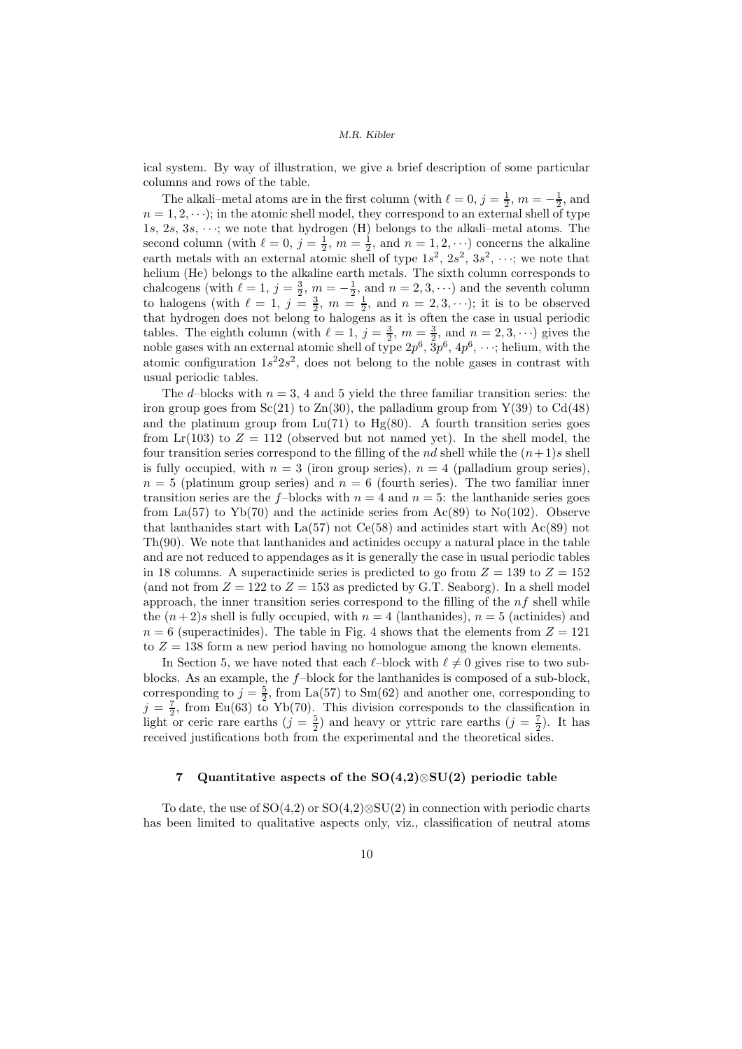ical system. By way of illustration, we give a brief description of some particular columns and rows of the table.

The alkali–metal atoms are in the first column (with  $\ell = 0$ ,  $j = \frac{1}{2}$ ,  $m = -\frac{1}{2}$ , and  $n = 1, 2, \dots$ ; in the atomic shell model, they correspond to an external shell of type 1s, 2s, 3s,  $\cdots$ ; we note that hydrogen (H) belongs to the alkali–metal atoms. The second column (with  $\ell = 0$ ,  $j = \frac{1}{2}$ ,  $m = \frac{1}{2}$ , and  $n = 1, 2, \dots$ ) concerns the alkaline earth metals with an external atomic shell of type  $1s^2$ ,  $2s^2$ ,  $3s^2$ ,  $\cdots$ ; we note that helium (He) belongs to the alkaline earth metals. The sixth column corresponds to chalcogens (with  $\ell = 1, j = \frac{3}{2}, m = -\frac{1}{2}$ , and  $n = 2, 3, \cdots$ ) and the seventh column to halogens (with  $\ell = 1$ ,  $j = \frac{3}{2}$ ,  $m = \frac{1}{2}$ , and  $n = 2, 3, \cdots$ ); it is to be observed that hydrogen does not belong to halogens as it is often the case in usual periodic tables. The eighth column (with  $\ell = 1, j = \frac{3}{2}, m = \frac{3}{2}$ , and  $n = 2, 3, \cdots$ ) gives the noble gases with an external atomic shell of type  $2p^6$ ,  $3p^6$ ,  $4p^6$ ,  $\cdots$ ; helium, with the atomic configuration  $1s^22s^2$ , does not belong to the noble gases in contrast with usual periodic tables.

The d–blocks with  $n = 3$ , 4 and 5 yield the three familiar transition series: the iron group goes from  $\text{Sc}(21)$  to  $\text{Zn}(30)$ , the palladium group from  $Y(39)$  to  $\text{Cd}(48)$ and the platinum group from  $Lu(71)$  to  $Hg(80)$ . A fourth transition series goes from  $\text{Lr}(103)$  to  $Z = 112$  (observed but not named yet). In the shell model, the four transition series correspond to the filling of the *nd* shell while the  $(n+1)s$  shell is fully occupied, with  $n = 3$  (iron group series),  $n = 4$  (palladium group series),  $n = 5$  (platinum group series) and  $n = 6$  (fourth series). The two familiar inner transition series are the f-blocks with  $n = 4$  and  $n = 5$ : the lanthanide series goes from La(57) to Yb(70) and the actinide series from  $Ac(89)$  to No(102). Observe that lanthanides start with  $La(57)$  not  $Ce(58)$  and actinides start with  $Ac(89)$  not Th(90). We note that lanthanides and actinides occupy a natural place in the table and are not reduced to appendages as it is generally the case in usual periodic tables in 18 columns. A superactinide series is predicted to go from  $Z = 139$  to  $Z = 152$ (and not from  $Z = 122$  to  $Z = 153$  as predicted by G.T. Seaborg). In a shell model approach, the inner transition series correspond to the filling of the  $nf$  shell while the  $(n+2)s$  shell is fully occupied, with  $n = 4$  (lanthanides),  $n = 5$  (actinides) and  $n = 6$  (superactinides). The table in Fig. 4 shows that the elements from  $Z = 121$ to  $Z = 138$  form a new period having no homologue among the known elements.

In Section 5, we have noted that each  $\ell$ –block with  $\ell \neq 0$  gives rise to two subblocks. As an example, the  $f$ -block for the lanthanides is composed of a sub-block, corresponding to  $j = \frac{5}{2}$ , from La(57) to Sm(62) and another one, corresponding to  $j = \frac{7}{2}$ , from Eu(63) to Yb(70). This division corresponds to the classification in light or ceric rare earths  $(j = \frac{5}{2})$  and heavy or yttric rare earths  $(j = \frac{7}{2})$ . It has received justifications both from the experimental and the theoretical sides.

# 7 Quantitative aspects of the SO(4,2)⊗SU(2) periodic table

To date, the use of  $SO(4,2)$  or  $SO(4,2)\otimes SU(2)$  in connection with periodic charts has been limited to qualitative aspects only, viz., classification of neutral atoms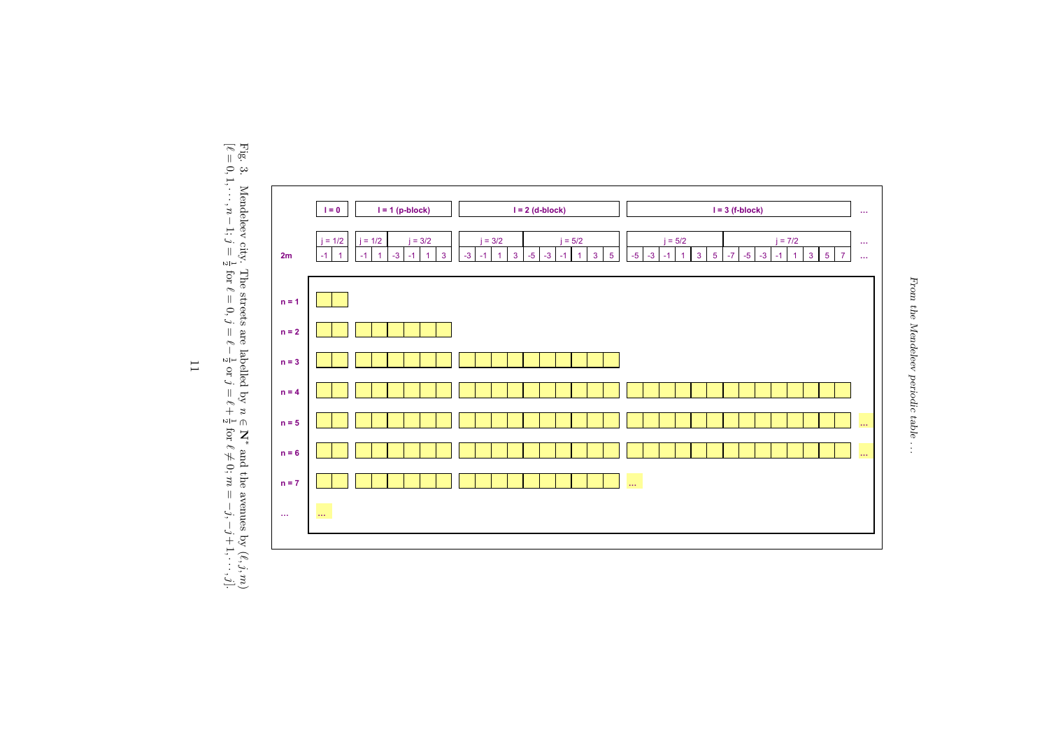

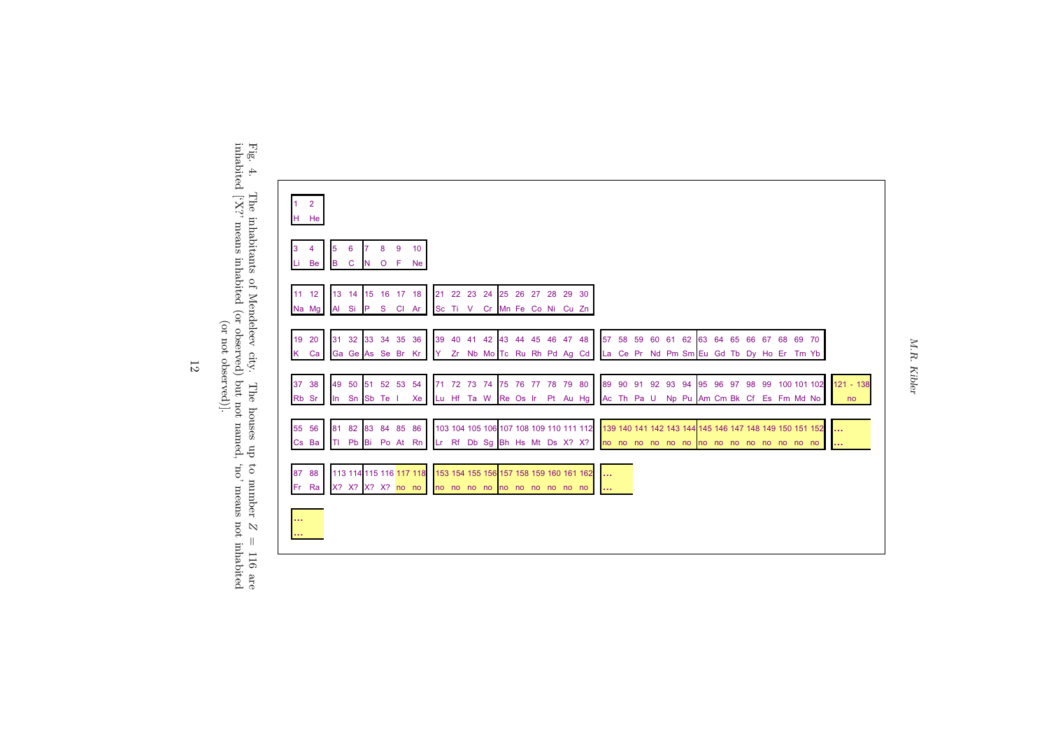



inhabited ['X?' means inhabited (or observed) but not named, 'no' means not inhabited (or not observed)].

 $\cal{M}, \cal{R},$  Kibler M.R. Kibler

12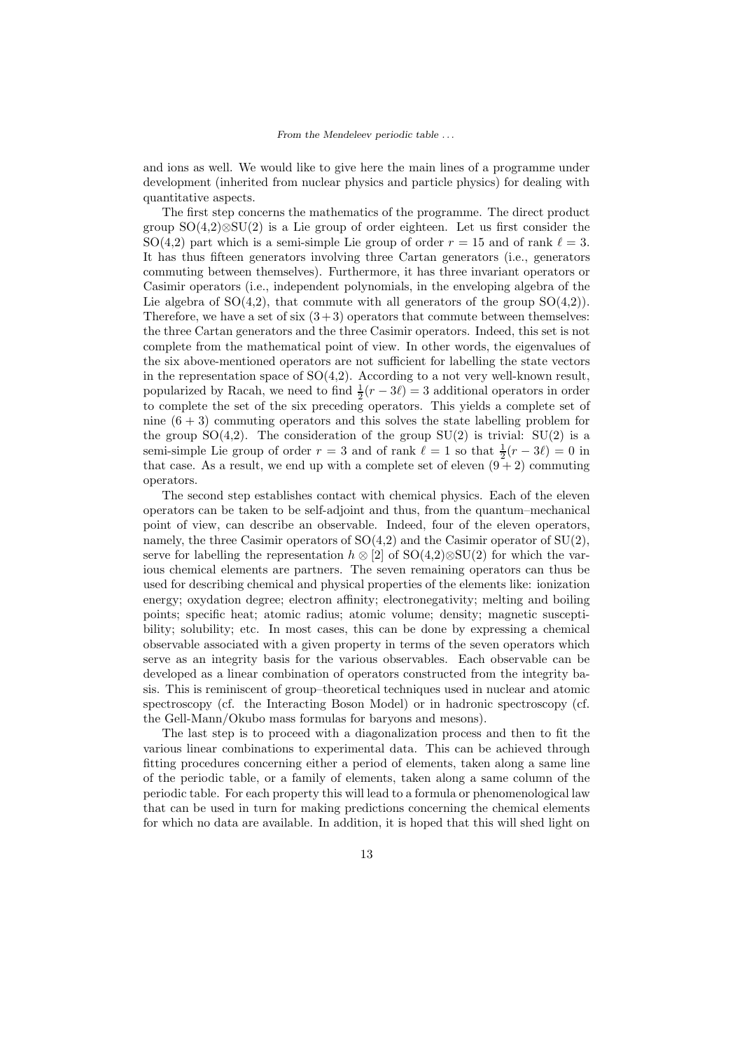and ions as well. We would like to give here the main lines of a programme under development (inherited from nuclear physics and particle physics) for dealing with quantitative aspects.

The first step concerns the mathematics of the programme. The direct product group  $SO(4,2)\otimes SU(2)$  is a Lie group of order eighteen. Let us first consider the SO(4,2) part which is a semi-simple Lie group of order  $r = 15$  and of rank  $\ell = 3$ . It has thus fifteen generators involving three Cartan generators (i.e., generators commuting between themselves). Furthermore, it has three invariant operators or Casimir operators (i.e., independent polynomials, in the enveloping algebra of the Lie algebra of  $SO(4,2)$ , that commute with all generators of the group  $SO(4,2)$ ). Therefore, we have a set of six  $(3+3)$  operators that commute between themselves: the three Cartan generators and the three Casimir operators. Indeed, this set is not complete from the mathematical point of view. In other words, the eigenvalues of the six above-mentioned operators are not sufficient for labelling the state vectors in the representation space of  $SO(4,2)$ . According to a not very well-known result, popularized by Racah, we need to find  $\frac{1}{2}(r-3\ell) = 3$  additional operators in order to complete the set of the six preceding operators. This yields a complete set of nine  $(6 + 3)$  commuting operators and this solves the state labelling problem for the group  $SO(4,2)$ . The consideration of the group  $SU(2)$  is trivial:  $SU(2)$  is a semi-simple Lie group of order  $r = 3$  and of rank  $\ell = 1$  so that  $\frac{1}{2}(r - 3\ell) = 0$  in that case. As a result, we end up with a complete set of eleven  $(9 + 2)$  commuting operators.

The second step establishes contact with chemical physics. Each of the eleven operators can be taken to be self-adjoint and thus, from the quantum–mechanical point of view, can describe an observable. Indeed, four of the eleven operators, namely, the three Casimir operators of  $SO(4,2)$  and the Casimir operator of  $SU(2)$ , serve for labelling the representation  $h \otimes [2]$  of SO(4,2)⊗SU(2) for which the various chemical elements are partners. The seven remaining operators can thus be used for describing chemical and physical properties of the elements like: ionization energy; oxydation degree; electron affinity; electronegativity; melting and boiling points; specific heat; atomic radius; atomic volume; density; magnetic susceptibility; solubility; etc. In most cases, this can be done by expressing a chemical observable associated with a given property in terms of the seven operators which serve as an integrity basis for the various observables. Each observable can be developed as a linear combination of operators constructed from the integrity basis. This is reminiscent of group–theoretical techniques used in nuclear and atomic spectroscopy (cf. the Interacting Boson Model) or in hadronic spectroscopy (cf. the Gell-Mann/Okubo mass formulas for baryons and mesons).

The last step is to proceed with a diagonalization process and then to fit the various linear combinations to experimental data. This can be achieved through fitting procedures concerning either a period of elements, taken along a same line of the periodic table, or a family of elements, taken along a same column of the periodic table. For each property this will lead to a formula or phenomenological law that can be used in turn for making predictions concerning the chemical elements for which no data are available. In addition, it is hoped that this will shed light on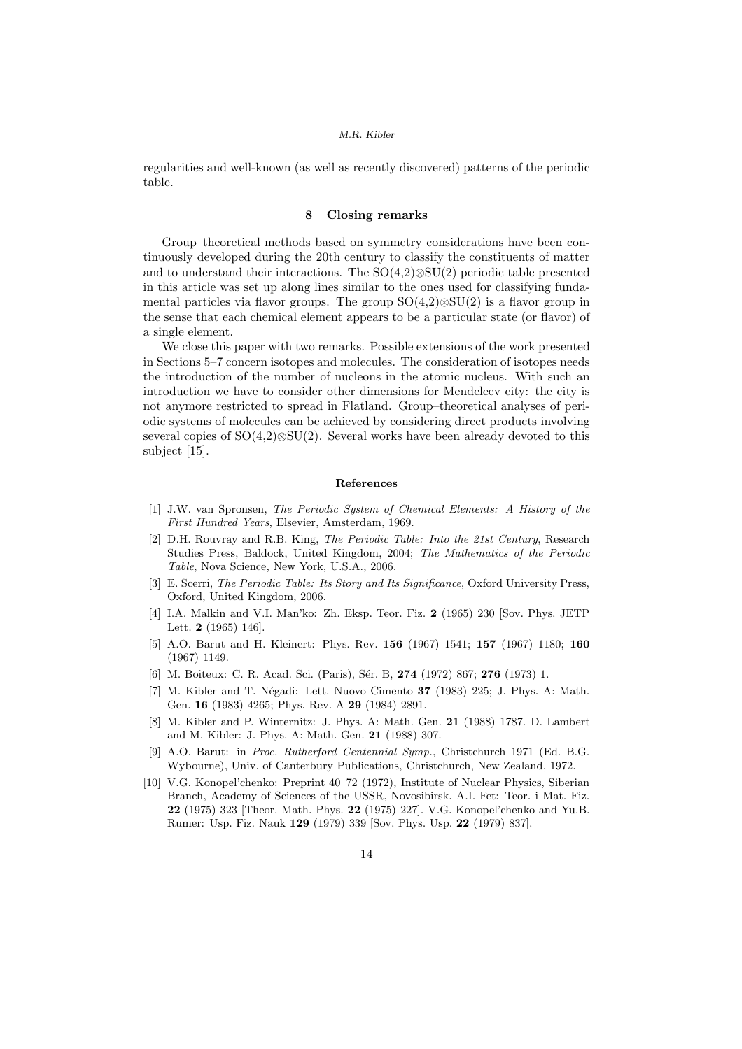regularities and well-known (as well as recently discovered) patterns of the periodic table.

# 8 Closing remarks

Group–theoretical methods based on symmetry considerations have been continuously developed during the 20th century to classify the constituents of matter and to understand their interactions. The SO(4,2)⊗SU(2) periodic table presented in this article was set up along lines similar to the ones used for classifying fundamental particles via flavor groups. The group  $SO(4,2)\otimes SU(2)$  is a flavor group in the sense that each chemical element appears to be a particular state (or flavor) of a single element.

We close this paper with two remarks. Possible extensions of the work presented in Sections 5–7 concern isotopes and molecules. The consideration of isotopes needs the introduction of the number of nucleons in the atomic nucleus. With such an introduction we have to consider other dimensions for Mendeleev city: the city is not anymore restricted to spread in Flatland. Group–theoretical analyses of periodic systems of molecules can be achieved by considering direct products involving several copies of  $SO(4,2)\otimes SU(2)$ . Several works have been already devoted to this subject [15].

## References

- [1] J.W. van Spronsen, The Periodic System of Chemical Elements: A History of the First Hundred Years, Elsevier, Amsterdam, 1969.
- [2] D.H. Rouvray and R.B. King, The Periodic Table: Into the 21st Century, Research Studies Press, Baldock, United Kingdom, 2004; The Mathematics of the Periodic Table, Nova Science, New York, U.S.A., 2006.
- [3] E. Scerri, The Periodic Table: Its Story and Its Significance, Oxford University Press, Oxford, United Kingdom, 2006.
- [4] I.A. Malkin and V.I. Man'ko: Zh. Eksp. Teor. Fiz. 2 (1965) 230 [Sov. Phys. JETP Lett. 2 (1965) 146].
- [5] A.O. Barut and H. Kleinert: Phys. Rev. 156 (1967) 1541; 157 (1967) 1180; 160 (1967) 1149.
- [6] M. Boiteux: C. R. Acad. Sci. (Paris), Sér. B, 274 (1972) 867; 276 (1973) 1.
- [7] M. Kibler and T. Négadi: Lett. Nuovo Cimento 37 (1983) 225; J. Phys. A: Math. Gen. 16 (1983) 4265; Phys. Rev. A 29 (1984) 2891.
- [8] M. Kibler and P. Winternitz: J. Phys. A: Math. Gen. 21 (1988) 1787. D. Lambert and M. Kibler: J. Phys. A: Math. Gen. 21 (1988) 307.
- [9] A.O. Barut: in Proc. Rutherford Centennial Symp., Christchurch 1971 (Ed. B.G. Wybourne), Univ. of Canterbury Publications, Christchurch, New Zealand, 1972.
- [10] V.G. Konopel'chenko: Preprint 40–72 (1972), Institute of Nuclear Physics, Siberian Branch, Academy of Sciences of the USSR, Novosibirsk. A.I. Fet: Teor. i Mat. Fiz. 22 (1975) 323 [Theor. Math. Phys. 22 (1975) 227]. V.G. Konopel'chenko and Yu.B. Rumer: Usp. Fiz. Nauk 129 (1979) 339 [Sov. Phys. Usp. 22 (1979) 837].